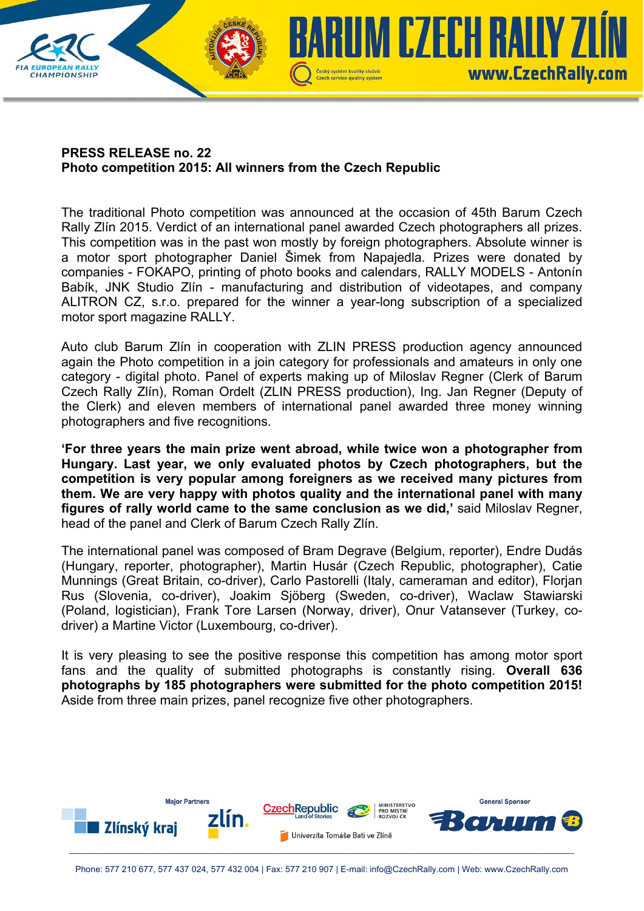

## **PRESS RELEASE no. 22 Photo competition 2015: All winners from the Czech Republic**

The traditional Photo competition was announced at the occasion of 45th Barum Czech Rally Zlín 2015. Verdict of an international panel awarded Czech photographers all prizes. This competition was in the past won mostly by foreign photographers. Absolute winner is a motor sport photographer Daniel Šimek from Napajedla. Prizes were donated by companies - FOKAPO, printing of photo books and calendars, RALLY MODELS - Antonín Babík, JNK Studio Zlín - manufacturing and distribution of videotapes, and company ALITRON CZ, s.r.o. prepared for the winner a year-long subscription of a specialized motor sport magazine RALLY.

Auto club Barum Zlín in cooperation with ZLIN PRESS production agency announced again the Photo competition in a join category for professionals and amateurs in only one category - digital photo. Panel of experts making up of Miloslav Regner (Clerk of Barum Czech Rally Zlín), Roman Ordelt (ZLIN PRESS production), Ing. Jan Regner (Deputy of the Clerk) and eleven members of international panel awarded three money winning photographers and five recognitions.

**'For three years the main prize went abroad, while twice won a photographer from Hungary. Last year, we only evaluated photos by Czech photographers, but the competition is very popular among foreigners as we received many pictures from them. We are very happy with photos quality and the international panel with many figures of rally world came to the same conclusion as we did,'** said Miloslav Regner, head of the panel and Clerk of Barum Czech Rally Zlín.

The international panel was composed of Bram Degrave (Belgium, reporter), Endre Dudás (Hungary, reporter, photographer), Martin Husár (Czech Republic, photographer), Catie Munnings (Great Britain, co-driver), Carlo Pastorelli (Italy, cameraman and editor), Florjan Rus (Slovenia, co-driver), Joakim Sjöberg (Sweden, co-driver), Waclaw Stawiarski (Poland, logistician), Frank Tore Larsen (Norway, driver), Onur Vatansever (Turkey, codriver) a Martine Victor (Luxembourg, co-driver).

It is very pleasing to see the positive response this competition has among motor sport fans and the quality of submitted photographs is constantly rising. **Overall 636 photographs by 185 photographers were submitted for the photo competition 2015!**  Aside from three main prizes, panel recognize five other photographers.